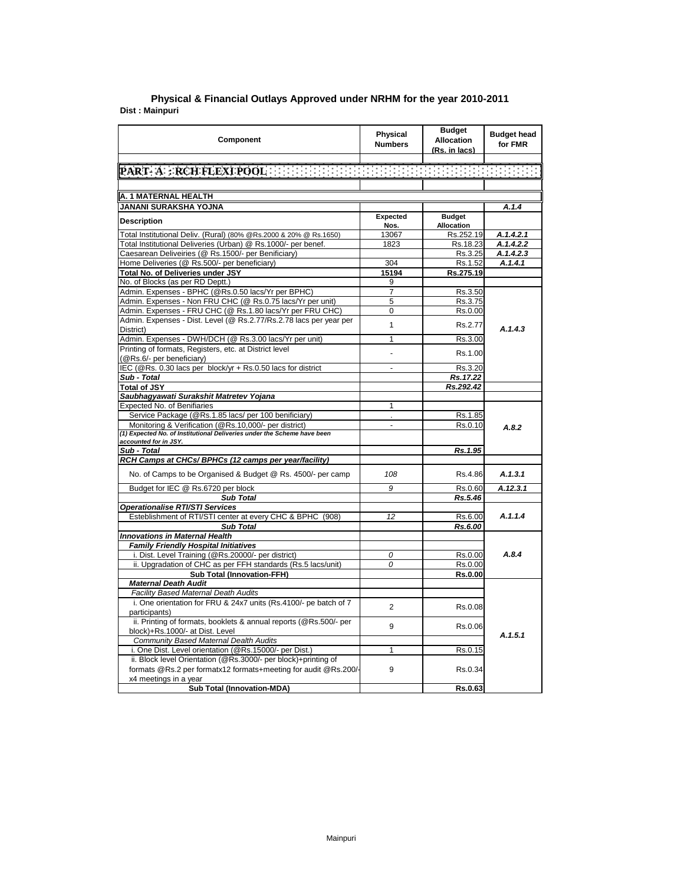| PART-A : RCH FLEXI POOL AND AND THE REPORT OF THE CONDITIONS<br>A. 1 MATERNAL HEALTH<br><b>JANANI SURAKSHA YOJNA</b><br>A.1.4<br><b>Expected</b><br><b>Budget</b><br><b>Description</b><br>Nos.<br>Allocation<br>Total Institutional Deliv. (Rural) (80% @Rs.2000 & 20% @ Rs.1650)<br>13067<br>Rs.252.19<br>A.1.4.2.1<br>Total Institutional Deliveries (Urban) @ Rs.1000/- per benef.<br>1823<br>Rs.18.23<br>A.1.4.2.2<br>Caesarean Deliveiries (@ Rs.1500/- per Benificiary)<br>Rs.3.25<br>A.1.4.2.3<br>Home Deliveries (@ Rs.500/- per beneficiary)<br>A.1.4.1<br>304<br>Rs.1.52<br>Total No. of Deliveries under JSY<br>15194<br>Rs.275.19<br>No. of Blocks (as per RD Deptt.)<br>9<br>Admin. Expenses - BPHC (@Rs.0.50 lacs/Yr per BPHC)<br>$\overline{7}$<br>Rs.3.50<br>Admin. Expenses - Non FRU CHC (@ Rs.0.75 lacs/Yr per unit)<br>5<br>Rs.3.75<br>Admin. Expenses - FRU CHC (@ Rs.1.80 lacs/Yr per FRU CHC)<br>0<br>Rs.0.00<br>Admin. Expenses - Dist. Level (@ Rs.2.77/Rs.2.78 lacs per year per<br>$\mathbf{1}$<br>Rs.2.77<br>A.1.4.3<br>District)<br>Admin. Expenses - DWH/DCH (@ Rs.3.00 lacs/Yr per unit)<br>$\mathbf{1}$<br>Rs.3.00<br>Printing of formats, Registers, etc. at District level<br>Rs.1.00<br>(@Rs.6/- per beneficiary)<br>IEC (@Rs. 0.30 lacs per block/yr + Rs.0.50 lacs for district<br>Rs.3.20<br>$\overline{a}$<br>Sub - Total<br>Rs.17.22<br>Rs.292.42<br><b>Total of JSY</b><br>Saubhagyawati Surakshit Matretev Yojana<br>Expected No. of Benifiaries<br>1<br>Service Package (@Rs.1.85 lacs/ per 100 benificiary)<br>Rs.1.85<br>ä,<br>Monitoring & Verification (@Rs.10,000/- per district)<br>Rs.0.10<br>$\blacksquare$<br>A.8.2<br>(1) Expected No. of Institutional Deliveries under the Scheme have been<br>accounted for in JSY.<br>Sub - Total<br>Rs.1.95<br>RCH Camps at CHCs/ BPHCs (12 camps per year/facility)<br>No. of Camps to be Organised & Budget @ Rs. 4500/- per camp<br>108<br>Rs.4.86<br>A.1.3.1<br>Budget for IEC @ Rs.6720 per block<br>9<br>Rs.0.60<br>A.12.3.1<br><b>Sub Total</b><br>Rs.5.46<br><b>Operationalise RTI/STI Services</b><br>Esteblishment of RTI/STI center at every CHC & BPHC (908)<br>A.1.1.4<br>12<br>Rs.6.00<br><b>Sub Total</b><br>Rs.6.00<br><b>Innovations in Maternal Health</b><br><b>Family Friendly Hospital Initiatives</b><br>i. Dist. Level Training (@Rs.20000/- per district)<br>A.8.4<br>0<br>Rs.0.00<br>ii. Upgradation of CHC as per FFH standards (Rs.5 lacs/unit)<br>0<br>Rs.0.00<br><b>Sub Total (Innovation-FFH)</b><br>Rs.0.00<br><b>Maternal Death Audit</b><br><b>Facility Based Maternal Death Audits</b><br>i. One orientation for FRU & 24x7 units (Rs.4100/- pe batch of 7<br>$\overline{2}$<br>Rs.0.08<br>participants)<br>ii. Printing of formats, booklets & annual reports (@Rs.500/- per<br>9<br>Rs.0.06<br>block)+Rs.1000/- at Dist. Level<br>A.1.5.1<br>Community Based Maternal Dealth Audits<br>i. One Dist. Level orientation (@Rs.15000/- per Dist.)<br>$\mathbf{1}$<br>Rs.0.15<br>ii. Block level Orientation (@Rs.3000/- per block)+printing of<br>formats @Rs.2 per formatx12 formats+meeting for audit @Rs.200/-<br>9<br>Rs.0.34<br>x4 meetings in a year<br><b>Sub Total (Innovation-MDA)</b><br>Rs.0.63 | Component | <b>Physical</b><br><b>Numbers</b> | <b>Budget</b><br><b>Allocation</b><br>(Rs. in lacs) | <b>Budget head</b><br>for FMR |
|---------------------------------------------------------------------------------------------------------------------------------------------------------------------------------------------------------------------------------------------------------------------------------------------------------------------------------------------------------------------------------------------------------------------------------------------------------------------------------------------------------------------------------------------------------------------------------------------------------------------------------------------------------------------------------------------------------------------------------------------------------------------------------------------------------------------------------------------------------------------------------------------------------------------------------------------------------------------------------------------------------------------------------------------------------------------------------------------------------------------------------------------------------------------------------------------------------------------------------------------------------------------------------------------------------------------------------------------------------------------------------------------------------------------------------------------------------------------------------------------------------------------------------------------------------------------------------------------------------------------------------------------------------------------------------------------------------------------------------------------------------------------------------------------------------------------------------------------------------------------------------------------------------------------------------------------------------------------------------------------------------------------------------------------------------------------------------------------------------------------------------------------------------------------------------------------------------------------------------------------------------------------------------------------------------------------------------------------------------------------------------------------------------------------------------------------------------------------------------------------------------------------------------------------------------------------------------------------------------------------------------------------------------------------------------------------------------------------------------------------------------------------------------------------------------------------------------------------------------------------------------------------------------------------------------------------------------------------------------------------------------------------------------------------------------------------------------------------------------------------------------------------------------------------------------------------------------------------------------------|-----------|-----------------------------------|-----------------------------------------------------|-------------------------------|
|                                                                                                                                                                                                                                                                                                                                                                                                                                                                                                                                                                                                                                                                                                                                                                                                                                                                                                                                                                                                                                                                                                                                                                                                                                                                                                                                                                                                                                                                                                                                                                                                                                                                                                                                                                                                                                                                                                                                                                                                                                                                                                                                                                                                                                                                                                                                                                                                                                                                                                                                                                                                                                                                                                                                                                                                                                                                                                                                                                                                                                                                                                                                                                                                                                       |           |                                   |                                                     |                               |
|                                                                                                                                                                                                                                                                                                                                                                                                                                                                                                                                                                                                                                                                                                                                                                                                                                                                                                                                                                                                                                                                                                                                                                                                                                                                                                                                                                                                                                                                                                                                                                                                                                                                                                                                                                                                                                                                                                                                                                                                                                                                                                                                                                                                                                                                                                                                                                                                                                                                                                                                                                                                                                                                                                                                                                                                                                                                                                                                                                                                                                                                                                                                                                                                                                       |           |                                   |                                                     |                               |
|                                                                                                                                                                                                                                                                                                                                                                                                                                                                                                                                                                                                                                                                                                                                                                                                                                                                                                                                                                                                                                                                                                                                                                                                                                                                                                                                                                                                                                                                                                                                                                                                                                                                                                                                                                                                                                                                                                                                                                                                                                                                                                                                                                                                                                                                                                                                                                                                                                                                                                                                                                                                                                                                                                                                                                                                                                                                                                                                                                                                                                                                                                                                                                                                                                       |           |                                   |                                                     |                               |
|                                                                                                                                                                                                                                                                                                                                                                                                                                                                                                                                                                                                                                                                                                                                                                                                                                                                                                                                                                                                                                                                                                                                                                                                                                                                                                                                                                                                                                                                                                                                                                                                                                                                                                                                                                                                                                                                                                                                                                                                                                                                                                                                                                                                                                                                                                                                                                                                                                                                                                                                                                                                                                                                                                                                                                                                                                                                                                                                                                                                                                                                                                                                                                                                                                       |           |                                   |                                                     |                               |
|                                                                                                                                                                                                                                                                                                                                                                                                                                                                                                                                                                                                                                                                                                                                                                                                                                                                                                                                                                                                                                                                                                                                                                                                                                                                                                                                                                                                                                                                                                                                                                                                                                                                                                                                                                                                                                                                                                                                                                                                                                                                                                                                                                                                                                                                                                                                                                                                                                                                                                                                                                                                                                                                                                                                                                                                                                                                                                                                                                                                                                                                                                                                                                                                                                       |           |                                   |                                                     |                               |
|                                                                                                                                                                                                                                                                                                                                                                                                                                                                                                                                                                                                                                                                                                                                                                                                                                                                                                                                                                                                                                                                                                                                                                                                                                                                                                                                                                                                                                                                                                                                                                                                                                                                                                                                                                                                                                                                                                                                                                                                                                                                                                                                                                                                                                                                                                                                                                                                                                                                                                                                                                                                                                                                                                                                                                                                                                                                                                                                                                                                                                                                                                                                                                                                                                       |           |                                   |                                                     |                               |
|                                                                                                                                                                                                                                                                                                                                                                                                                                                                                                                                                                                                                                                                                                                                                                                                                                                                                                                                                                                                                                                                                                                                                                                                                                                                                                                                                                                                                                                                                                                                                                                                                                                                                                                                                                                                                                                                                                                                                                                                                                                                                                                                                                                                                                                                                                                                                                                                                                                                                                                                                                                                                                                                                                                                                                                                                                                                                                                                                                                                                                                                                                                                                                                                                                       |           |                                   |                                                     |                               |
|                                                                                                                                                                                                                                                                                                                                                                                                                                                                                                                                                                                                                                                                                                                                                                                                                                                                                                                                                                                                                                                                                                                                                                                                                                                                                                                                                                                                                                                                                                                                                                                                                                                                                                                                                                                                                                                                                                                                                                                                                                                                                                                                                                                                                                                                                                                                                                                                                                                                                                                                                                                                                                                                                                                                                                                                                                                                                                                                                                                                                                                                                                                                                                                                                                       |           |                                   |                                                     |                               |
|                                                                                                                                                                                                                                                                                                                                                                                                                                                                                                                                                                                                                                                                                                                                                                                                                                                                                                                                                                                                                                                                                                                                                                                                                                                                                                                                                                                                                                                                                                                                                                                                                                                                                                                                                                                                                                                                                                                                                                                                                                                                                                                                                                                                                                                                                                                                                                                                                                                                                                                                                                                                                                                                                                                                                                                                                                                                                                                                                                                                                                                                                                                                                                                                                                       |           |                                   |                                                     |                               |
|                                                                                                                                                                                                                                                                                                                                                                                                                                                                                                                                                                                                                                                                                                                                                                                                                                                                                                                                                                                                                                                                                                                                                                                                                                                                                                                                                                                                                                                                                                                                                                                                                                                                                                                                                                                                                                                                                                                                                                                                                                                                                                                                                                                                                                                                                                                                                                                                                                                                                                                                                                                                                                                                                                                                                                                                                                                                                                                                                                                                                                                                                                                                                                                                                                       |           |                                   |                                                     |                               |
|                                                                                                                                                                                                                                                                                                                                                                                                                                                                                                                                                                                                                                                                                                                                                                                                                                                                                                                                                                                                                                                                                                                                                                                                                                                                                                                                                                                                                                                                                                                                                                                                                                                                                                                                                                                                                                                                                                                                                                                                                                                                                                                                                                                                                                                                                                                                                                                                                                                                                                                                                                                                                                                                                                                                                                                                                                                                                                                                                                                                                                                                                                                                                                                                                                       |           |                                   |                                                     |                               |
|                                                                                                                                                                                                                                                                                                                                                                                                                                                                                                                                                                                                                                                                                                                                                                                                                                                                                                                                                                                                                                                                                                                                                                                                                                                                                                                                                                                                                                                                                                                                                                                                                                                                                                                                                                                                                                                                                                                                                                                                                                                                                                                                                                                                                                                                                                                                                                                                                                                                                                                                                                                                                                                                                                                                                                                                                                                                                                                                                                                                                                                                                                                                                                                                                                       |           |                                   |                                                     |                               |
|                                                                                                                                                                                                                                                                                                                                                                                                                                                                                                                                                                                                                                                                                                                                                                                                                                                                                                                                                                                                                                                                                                                                                                                                                                                                                                                                                                                                                                                                                                                                                                                                                                                                                                                                                                                                                                                                                                                                                                                                                                                                                                                                                                                                                                                                                                                                                                                                                                                                                                                                                                                                                                                                                                                                                                                                                                                                                                                                                                                                                                                                                                                                                                                                                                       |           |                                   |                                                     |                               |
|                                                                                                                                                                                                                                                                                                                                                                                                                                                                                                                                                                                                                                                                                                                                                                                                                                                                                                                                                                                                                                                                                                                                                                                                                                                                                                                                                                                                                                                                                                                                                                                                                                                                                                                                                                                                                                                                                                                                                                                                                                                                                                                                                                                                                                                                                                                                                                                                                                                                                                                                                                                                                                                                                                                                                                                                                                                                                                                                                                                                                                                                                                                                                                                                                                       |           |                                   |                                                     |                               |
|                                                                                                                                                                                                                                                                                                                                                                                                                                                                                                                                                                                                                                                                                                                                                                                                                                                                                                                                                                                                                                                                                                                                                                                                                                                                                                                                                                                                                                                                                                                                                                                                                                                                                                                                                                                                                                                                                                                                                                                                                                                                                                                                                                                                                                                                                                                                                                                                                                                                                                                                                                                                                                                                                                                                                                                                                                                                                                                                                                                                                                                                                                                                                                                                                                       |           |                                   |                                                     |                               |
|                                                                                                                                                                                                                                                                                                                                                                                                                                                                                                                                                                                                                                                                                                                                                                                                                                                                                                                                                                                                                                                                                                                                                                                                                                                                                                                                                                                                                                                                                                                                                                                                                                                                                                                                                                                                                                                                                                                                                                                                                                                                                                                                                                                                                                                                                                                                                                                                                                                                                                                                                                                                                                                                                                                                                                                                                                                                                                                                                                                                                                                                                                                                                                                                                                       |           |                                   |                                                     |                               |
|                                                                                                                                                                                                                                                                                                                                                                                                                                                                                                                                                                                                                                                                                                                                                                                                                                                                                                                                                                                                                                                                                                                                                                                                                                                                                                                                                                                                                                                                                                                                                                                                                                                                                                                                                                                                                                                                                                                                                                                                                                                                                                                                                                                                                                                                                                                                                                                                                                                                                                                                                                                                                                                                                                                                                                                                                                                                                                                                                                                                                                                                                                                                                                                                                                       |           |                                   |                                                     |                               |
|                                                                                                                                                                                                                                                                                                                                                                                                                                                                                                                                                                                                                                                                                                                                                                                                                                                                                                                                                                                                                                                                                                                                                                                                                                                                                                                                                                                                                                                                                                                                                                                                                                                                                                                                                                                                                                                                                                                                                                                                                                                                                                                                                                                                                                                                                                                                                                                                                                                                                                                                                                                                                                                                                                                                                                                                                                                                                                                                                                                                                                                                                                                                                                                                                                       |           |                                   |                                                     |                               |
|                                                                                                                                                                                                                                                                                                                                                                                                                                                                                                                                                                                                                                                                                                                                                                                                                                                                                                                                                                                                                                                                                                                                                                                                                                                                                                                                                                                                                                                                                                                                                                                                                                                                                                                                                                                                                                                                                                                                                                                                                                                                                                                                                                                                                                                                                                                                                                                                                                                                                                                                                                                                                                                                                                                                                                                                                                                                                                                                                                                                                                                                                                                                                                                                                                       |           |                                   |                                                     |                               |
|                                                                                                                                                                                                                                                                                                                                                                                                                                                                                                                                                                                                                                                                                                                                                                                                                                                                                                                                                                                                                                                                                                                                                                                                                                                                                                                                                                                                                                                                                                                                                                                                                                                                                                                                                                                                                                                                                                                                                                                                                                                                                                                                                                                                                                                                                                                                                                                                                                                                                                                                                                                                                                                                                                                                                                                                                                                                                                                                                                                                                                                                                                                                                                                                                                       |           |                                   |                                                     |                               |
|                                                                                                                                                                                                                                                                                                                                                                                                                                                                                                                                                                                                                                                                                                                                                                                                                                                                                                                                                                                                                                                                                                                                                                                                                                                                                                                                                                                                                                                                                                                                                                                                                                                                                                                                                                                                                                                                                                                                                                                                                                                                                                                                                                                                                                                                                                                                                                                                                                                                                                                                                                                                                                                                                                                                                                                                                                                                                                                                                                                                                                                                                                                                                                                                                                       |           |                                   |                                                     |                               |
|                                                                                                                                                                                                                                                                                                                                                                                                                                                                                                                                                                                                                                                                                                                                                                                                                                                                                                                                                                                                                                                                                                                                                                                                                                                                                                                                                                                                                                                                                                                                                                                                                                                                                                                                                                                                                                                                                                                                                                                                                                                                                                                                                                                                                                                                                                                                                                                                                                                                                                                                                                                                                                                                                                                                                                                                                                                                                                                                                                                                                                                                                                                                                                                                                                       |           |                                   |                                                     |                               |
|                                                                                                                                                                                                                                                                                                                                                                                                                                                                                                                                                                                                                                                                                                                                                                                                                                                                                                                                                                                                                                                                                                                                                                                                                                                                                                                                                                                                                                                                                                                                                                                                                                                                                                                                                                                                                                                                                                                                                                                                                                                                                                                                                                                                                                                                                                                                                                                                                                                                                                                                                                                                                                                                                                                                                                                                                                                                                                                                                                                                                                                                                                                                                                                                                                       |           |                                   |                                                     |                               |
|                                                                                                                                                                                                                                                                                                                                                                                                                                                                                                                                                                                                                                                                                                                                                                                                                                                                                                                                                                                                                                                                                                                                                                                                                                                                                                                                                                                                                                                                                                                                                                                                                                                                                                                                                                                                                                                                                                                                                                                                                                                                                                                                                                                                                                                                                                                                                                                                                                                                                                                                                                                                                                                                                                                                                                                                                                                                                                                                                                                                                                                                                                                                                                                                                                       |           |                                   |                                                     |                               |
|                                                                                                                                                                                                                                                                                                                                                                                                                                                                                                                                                                                                                                                                                                                                                                                                                                                                                                                                                                                                                                                                                                                                                                                                                                                                                                                                                                                                                                                                                                                                                                                                                                                                                                                                                                                                                                                                                                                                                                                                                                                                                                                                                                                                                                                                                                                                                                                                                                                                                                                                                                                                                                                                                                                                                                                                                                                                                                                                                                                                                                                                                                                                                                                                                                       |           |                                   |                                                     |                               |
|                                                                                                                                                                                                                                                                                                                                                                                                                                                                                                                                                                                                                                                                                                                                                                                                                                                                                                                                                                                                                                                                                                                                                                                                                                                                                                                                                                                                                                                                                                                                                                                                                                                                                                                                                                                                                                                                                                                                                                                                                                                                                                                                                                                                                                                                                                                                                                                                                                                                                                                                                                                                                                                                                                                                                                                                                                                                                                                                                                                                                                                                                                                                                                                                                                       |           |                                   |                                                     |                               |
|                                                                                                                                                                                                                                                                                                                                                                                                                                                                                                                                                                                                                                                                                                                                                                                                                                                                                                                                                                                                                                                                                                                                                                                                                                                                                                                                                                                                                                                                                                                                                                                                                                                                                                                                                                                                                                                                                                                                                                                                                                                                                                                                                                                                                                                                                                                                                                                                                                                                                                                                                                                                                                                                                                                                                                                                                                                                                                                                                                                                                                                                                                                                                                                                                                       |           |                                   |                                                     |                               |
|                                                                                                                                                                                                                                                                                                                                                                                                                                                                                                                                                                                                                                                                                                                                                                                                                                                                                                                                                                                                                                                                                                                                                                                                                                                                                                                                                                                                                                                                                                                                                                                                                                                                                                                                                                                                                                                                                                                                                                                                                                                                                                                                                                                                                                                                                                                                                                                                                                                                                                                                                                                                                                                                                                                                                                                                                                                                                                                                                                                                                                                                                                                                                                                                                                       |           |                                   |                                                     |                               |
|                                                                                                                                                                                                                                                                                                                                                                                                                                                                                                                                                                                                                                                                                                                                                                                                                                                                                                                                                                                                                                                                                                                                                                                                                                                                                                                                                                                                                                                                                                                                                                                                                                                                                                                                                                                                                                                                                                                                                                                                                                                                                                                                                                                                                                                                                                                                                                                                                                                                                                                                                                                                                                                                                                                                                                                                                                                                                                                                                                                                                                                                                                                                                                                                                                       |           |                                   |                                                     |                               |
|                                                                                                                                                                                                                                                                                                                                                                                                                                                                                                                                                                                                                                                                                                                                                                                                                                                                                                                                                                                                                                                                                                                                                                                                                                                                                                                                                                                                                                                                                                                                                                                                                                                                                                                                                                                                                                                                                                                                                                                                                                                                                                                                                                                                                                                                                                                                                                                                                                                                                                                                                                                                                                                                                                                                                                                                                                                                                                                                                                                                                                                                                                                                                                                                                                       |           |                                   |                                                     |                               |
|                                                                                                                                                                                                                                                                                                                                                                                                                                                                                                                                                                                                                                                                                                                                                                                                                                                                                                                                                                                                                                                                                                                                                                                                                                                                                                                                                                                                                                                                                                                                                                                                                                                                                                                                                                                                                                                                                                                                                                                                                                                                                                                                                                                                                                                                                                                                                                                                                                                                                                                                                                                                                                                                                                                                                                                                                                                                                                                                                                                                                                                                                                                                                                                                                                       |           |                                   |                                                     |                               |
|                                                                                                                                                                                                                                                                                                                                                                                                                                                                                                                                                                                                                                                                                                                                                                                                                                                                                                                                                                                                                                                                                                                                                                                                                                                                                                                                                                                                                                                                                                                                                                                                                                                                                                                                                                                                                                                                                                                                                                                                                                                                                                                                                                                                                                                                                                                                                                                                                                                                                                                                                                                                                                                                                                                                                                                                                                                                                                                                                                                                                                                                                                                                                                                                                                       |           |                                   |                                                     |                               |
|                                                                                                                                                                                                                                                                                                                                                                                                                                                                                                                                                                                                                                                                                                                                                                                                                                                                                                                                                                                                                                                                                                                                                                                                                                                                                                                                                                                                                                                                                                                                                                                                                                                                                                                                                                                                                                                                                                                                                                                                                                                                                                                                                                                                                                                                                                                                                                                                                                                                                                                                                                                                                                                                                                                                                                                                                                                                                                                                                                                                                                                                                                                                                                                                                                       |           |                                   |                                                     |                               |
|                                                                                                                                                                                                                                                                                                                                                                                                                                                                                                                                                                                                                                                                                                                                                                                                                                                                                                                                                                                                                                                                                                                                                                                                                                                                                                                                                                                                                                                                                                                                                                                                                                                                                                                                                                                                                                                                                                                                                                                                                                                                                                                                                                                                                                                                                                                                                                                                                                                                                                                                                                                                                                                                                                                                                                                                                                                                                                                                                                                                                                                                                                                                                                                                                                       |           |                                   |                                                     |                               |
|                                                                                                                                                                                                                                                                                                                                                                                                                                                                                                                                                                                                                                                                                                                                                                                                                                                                                                                                                                                                                                                                                                                                                                                                                                                                                                                                                                                                                                                                                                                                                                                                                                                                                                                                                                                                                                                                                                                                                                                                                                                                                                                                                                                                                                                                                                                                                                                                                                                                                                                                                                                                                                                                                                                                                                                                                                                                                                                                                                                                                                                                                                                                                                                                                                       |           |                                   |                                                     |                               |
|                                                                                                                                                                                                                                                                                                                                                                                                                                                                                                                                                                                                                                                                                                                                                                                                                                                                                                                                                                                                                                                                                                                                                                                                                                                                                                                                                                                                                                                                                                                                                                                                                                                                                                                                                                                                                                                                                                                                                                                                                                                                                                                                                                                                                                                                                                                                                                                                                                                                                                                                                                                                                                                                                                                                                                                                                                                                                                                                                                                                                                                                                                                                                                                                                                       |           |                                   |                                                     |                               |
|                                                                                                                                                                                                                                                                                                                                                                                                                                                                                                                                                                                                                                                                                                                                                                                                                                                                                                                                                                                                                                                                                                                                                                                                                                                                                                                                                                                                                                                                                                                                                                                                                                                                                                                                                                                                                                                                                                                                                                                                                                                                                                                                                                                                                                                                                                                                                                                                                                                                                                                                                                                                                                                                                                                                                                                                                                                                                                                                                                                                                                                                                                                                                                                                                                       |           |                                   |                                                     |                               |
|                                                                                                                                                                                                                                                                                                                                                                                                                                                                                                                                                                                                                                                                                                                                                                                                                                                                                                                                                                                                                                                                                                                                                                                                                                                                                                                                                                                                                                                                                                                                                                                                                                                                                                                                                                                                                                                                                                                                                                                                                                                                                                                                                                                                                                                                                                                                                                                                                                                                                                                                                                                                                                                                                                                                                                                                                                                                                                                                                                                                                                                                                                                                                                                                                                       |           |                                   |                                                     |                               |
|                                                                                                                                                                                                                                                                                                                                                                                                                                                                                                                                                                                                                                                                                                                                                                                                                                                                                                                                                                                                                                                                                                                                                                                                                                                                                                                                                                                                                                                                                                                                                                                                                                                                                                                                                                                                                                                                                                                                                                                                                                                                                                                                                                                                                                                                                                                                                                                                                                                                                                                                                                                                                                                                                                                                                                                                                                                                                                                                                                                                                                                                                                                                                                                                                                       |           |                                   |                                                     |                               |
|                                                                                                                                                                                                                                                                                                                                                                                                                                                                                                                                                                                                                                                                                                                                                                                                                                                                                                                                                                                                                                                                                                                                                                                                                                                                                                                                                                                                                                                                                                                                                                                                                                                                                                                                                                                                                                                                                                                                                                                                                                                                                                                                                                                                                                                                                                                                                                                                                                                                                                                                                                                                                                                                                                                                                                                                                                                                                                                                                                                                                                                                                                                                                                                                                                       |           |                                   |                                                     |                               |
|                                                                                                                                                                                                                                                                                                                                                                                                                                                                                                                                                                                                                                                                                                                                                                                                                                                                                                                                                                                                                                                                                                                                                                                                                                                                                                                                                                                                                                                                                                                                                                                                                                                                                                                                                                                                                                                                                                                                                                                                                                                                                                                                                                                                                                                                                                                                                                                                                                                                                                                                                                                                                                                                                                                                                                                                                                                                                                                                                                                                                                                                                                                                                                                                                                       |           |                                   |                                                     |                               |
|                                                                                                                                                                                                                                                                                                                                                                                                                                                                                                                                                                                                                                                                                                                                                                                                                                                                                                                                                                                                                                                                                                                                                                                                                                                                                                                                                                                                                                                                                                                                                                                                                                                                                                                                                                                                                                                                                                                                                                                                                                                                                                                                                                                                                                                                                                                                                                                                                                                                                                                                                                                                                                                                                                                                                                                                                                                                                                                                                                                                                                                                                                                                                                                                                                       |           |                                   |                                                     |                               |
|                                                                                                                                                                                                                                                                                                                                                                                                                                                                                                                                                                                                                                                                                                                                                                                                                                                                                                                                                                                                                                                                                                                                                                                                                                                                                                                                                                                                                                                                                                                                                                                                                                                                                                                                                                                                                                                                                                                                                                                                                                                                                                                                                                                                                                                                                                                                                                                                                                                                                                                                                                                                                                                                                                                                                                                                                                                                                                                                                                                                                                                                                                                                                                                                                                       |           |                                   |                                                     |                               |
|                                                                                                                                                                                                                                                                                                                                                                                                                                                                                                                                                                                                                                                                                                                                                                                                                                                                                                                                                                                                                                                                                                                                                                                                                                                                                                                                                                                                                                                                                                                                                                                                                                                                                                                                                                                                                                                                                                                                                                                                                                                                                                                                                                                                                                                                                                                                                                                                                                                                                                                                                                                                                                                                                                                                                                                                                                                                                                                                                                                                                                                                                                                                                                                                                                       |           |                                   |                                                     |                               |
|                                                                                                                                                                                                                                                                                                                                                                                                                                                                                                                                                                                                                                                                                                                                                                                                                                                                                                                                                                                                                                                                                                                                                                                                                                                                                                                                                                                                                                                                                                                                                                                                                                                                                                                                                                                                                                                                                                                                                                                                                                                                                                                                                                                                                                                                                                                                                                                                                                                                                                                                                                                                                                                                                                                                                                                                                                                                                                                                                                                                                                                                                                                                                                                                                                       |           |                                   |                                                     |                               |
|                                                                                                                                                                                                                                                                                                                                                                                                                                                                                                                                                                                                                                                                                                                                                                                                                                                                                                                                                                                                                                                                                                                                                                                                                                                                                                                                                                                                                                                                                                                                                                                                                                                                                                                                                                                                                                                                                                                                                                                                                                                                                                                                                                                                                                                                                                                                                                                                                                                                                                                                                                                                                                                                                                                                                                                                                                                                                                                                                                                                                                                                                                                                                                                                                                       |           |                                   |                                                     |                               |
|                                                                                                                                                                                                                                                                                                                                                                                                                                                                                                                                                                                                                                                                                                                                                                                                                                                                                                                                                                                                                                                                                                                                                                                                                                                                                                                                                                                                                                                                                                                                                                                                                                                                                                                                                                                                                                                                                                                                                                                                                                                                                                                                                                                                                                                                                                                                                                                                                                                                                                                                                                                                                                                                                                                                                                                                                                                                                                                                                                                                                                                                                                                                                                                                                                       |           |                                   |                                                     |                               |
|                                                                                                                                                                                                                                                                                                                                                                                                                                                                                                                                                                                                                                                                                                                                                                                                                                                                                                                                                                                                                                                                                                                                                                                                                                                                                                                                                                                                                                                                                                                                                                                                                                                                                                                                                                                                                                                                                                                                                                                                                                                                                                                                                                                                                                                                                                                                                                                                                                                                                                                                                                                                                                                                                                                                                                                                                                                                                                                                                                                                                                                                                                                                                                                                                                       |           |                                   |                                                     |                               |
|                                                                                                                                                                                                                                                                                                                                                                                                                                                                                                                                                                                                                                                                                                                                                                                                                                                                                                                                                                                                                                                                                                                                                                                                                                                                                                                                                                                                                                                                                                                                                                                                                                                                                                                                                                                                                                                                                                                                                                                                                                                                                                                                                                                                                                                                                                                                                                                                                                                                                                                                                                                                                                                                                                                                                                                                                                                                                                                                                                                                                                                                                                                                                                                                                                       |           |                                   |                                                     |                               |
|                                                                                                                                                                                                                                                                                                                                                                                                                                                                                                                                                                                                                                                                                                                                                                                                                                                                                                                                                                                                                                                                                                                                                                                                                                                                                                                                                                                                                                                                                                                                                                                                                                                                                                                                                                                                                                                                                                                                                                                                                                                                                                                                                                                                                                                                                                                                                                                                                                                                                                                                                                                                                                                                                                                                                                                                                                                                                                                                                                                                                                                                                                                                                                                                                                       |           |                                   |                                                     |                               |
|                                                                                                                                                                                                                                                                                                                                                                                                                                                                                                                                                                                                                                                                                                                                                                                                                                                                                                                                                                                                                                                                                                                                                                                                                                                                                                                                                                                                                                                                                                                                                                                                                                                                                                                                                                                                                                                                                                                                                                                                                                                                                                                                                                                                                                                                                                                                                                                                                                                                                                                                                                                                                                                                                                                                                                                                                                                                                                                                                                                                                                                                                                                                                                                                                                       |           |                                   |                                                     |                               |
|                                                                                                                                                                                                                                                                                                                                                                                                                                                                                                                                                                                                                                                                                                                                                                                                                                                                                                                                                                                                                                                                                                                                                                                                                                                                                                                                                                                                                                                                                                                                                                                                                                                                                                                                                                                                                                                                                                                                                                                                                                                                                                                                                                                                                                                                                                                                                                                                                                                                                                                                                                                                                                                                                                                                                                                                                                                                                                                                                                                                                                                                                                                                                                                                                                       |           |                                   |                                                     |                               |
|                                                                                                                                                                                                                                                                                                                                                                                                                                                                                                                                                                                                                                                                                                                                                                                                                                                                                                                                                                                                                                                                                                                                                                                                                                                                                                                                                                                                                                                                                                                                                                                                                                                                                                                                                                                                                                                                                                                                                                                                                                                                                                                                                                                                                                                                                                                                                                                                                                                                                                                                                                                                                                                                                                                                                                                                                                                                                                                                                                                                                                                                                                                                                                                                                                       |           |                                   |                                                     |                               |

## **Dist : Mainpuri Physical & Financial Outlays Approved under NRHM for the year 2010-2011**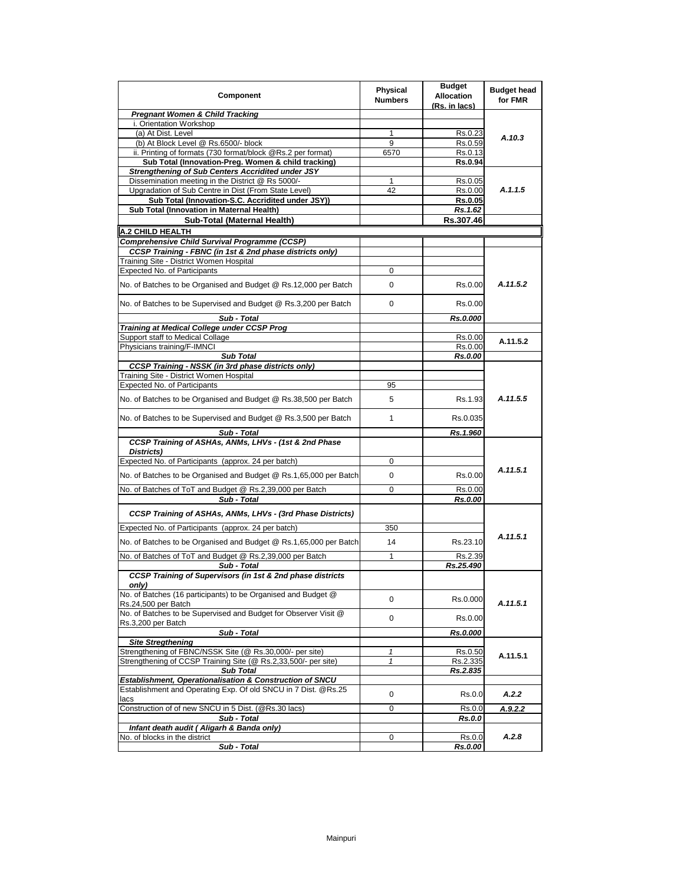| Component                                                                                                                  | Physical<br><b>Numbers</b> | <b>Budget</b><br><b>Allocation</b><br>(Rs. in lacs) | <b>Budget head</b><br>for FMR |
|----------------------------------------------------------------------------------------------------------------------------|----------------------------|-----------------------------------------------------|-------------------------------|
| <b>Pregnant Women &amp; Child Tracking</b>                                                                                 |                            |                                                     |                               |
| i. Orientation Workshop                                                                                                    |                            |                                                     |                               |
| (a) At Dist. Level                                                                                                         | 1                          | Rs.0.23                                             | A.10.3                        |
| (b) At Block Level @ Rs.6500/- block                                                                                       | 9                          | Rs.0.59                                             |                               |
| ii. Printing of formats (730 format/block @Rs.2 per format)                                                                | 6570                       | Rs.0.13                                             |                               |
| Sub Total (Innovation-Preg. Women & child tracking)<br>Strengthening of Sub Centers Accridited under JSY                   |                            | Rs.0.94                                             |                               |
| Dissemination meeting in the District @ Rs 5000/-                                                                          | 1                          | Rs.0.05                                             |                               |
| Upgradation of Sub Centre in Dist (From State Level)                                                                       | 42                         | Rs.0.00                                             | A.1.1.5                       |
| Sub Total (Innovation-S.C. Accridited under JSY))                                                                          |                            | <b>Rs.0.05</b>                                      |                               |
| Sub Total (Innovation in Maternal Health)                                                                                  |                            | Rs.1.62                                             |                               |
| Sub-Total (Maternal Health)                                                                                                |                            | Rs.307.46                                           |                               |
| A.2 CHILD HEALTH                                                                                                           |                            |                                                     |                               |
| <b>Comprehensive Child Survival Programme (CCSP)</b>                                                                       |                            |                                                     |                               |
| CCSP Training - FBNC (in 1st & 2nd phase districts only)                                                                   |                            |                                                     |                               |
| Training Site - District Women Hospital                                                                                    |                            |                                                     |                               |
| <b>Expected No. of Participants</b>                                                                                        | 0                          |                                                     |                               |
| No. of Batches to be Organised and Budget @ Rs.12,000 per Batch                                                            | 0                          | Rs.0.00                                             | A.11.5.2                      |
| No. of Batches to be Supervised and Budget @ Rs.3,200 per Batch                                                            | 0                          | Rs.0.00                                             |                               |
| Sub - Total                                                                                                                |                            | Rs.0.000                                            |                               |
| <b>Training at Medical College under CCSP Prog</b><br>Support staff to Medical Collage                                     |                            |                                                     |                               |
| Physicians training/F-IMNCI                                                                                                |                            | Rs.0.00<br>Rs.0.00                                  | A.11.5.2                      |
| <b>Sub Total</b>                                                                                                           |                            | Rs.0.00                                             |                               |
| <b>CCSP Training - NSSK (in 3rd phase districts only)</b>                                                                  |                            |                                                     |                               |
| Training Site - District Women Hospital                                                                                    |                            |                                                     |                               |
| <b>Expected No. of Participants</b>                                                                                        | 95                         |                                                     |                               |
| No. of Batches to be Organised and Budget @ Rs.38,500 per Batch                                                            | 5                          | Rs.1.93                                             | A.11.5.5                      |
| No. of Batches to be Supervised and Budget @ Rs.3,500 per Batch                                                            | 1                          | Rs.0.035                                            |                               |
| Sub - Total                                                                                                                |                            | Rs.1.960                                            |                               |
| CCSP Training of ASHAs, ANMs, LHVs - (1st & 2nd Phase<br>Districts)                                                        |                            |                                                     |                               |
| Expected No. of Participants (approx. 24 per batch)                                                                        | 0                          |                                                     |                               |
| No. of Batches to be Organised and Budget @ Rs.1,65,000 per Batch                                                          | 0                          | Rs.0.00                                             | A.11.5.1                      |
| No. of Batches of ToT and Budget @ Rs.2,39,000 per Batch<br>Sub - Total                                                    | 0                          | Rs.0.00<br>Rs.0.00                                  |                               |
| CCSP Training of ASHAs, ANMs, LHVs - (3rd Phase Districts)                                                                 |                            |                                                     |                               |
| Expected No. of Participants (approx. 24 per batch)                                                                        | 350                        |                                                     |                               |
| No. of Batches to be Organised and Budget @ Rs.1,65,000 per Batch                                                          | 14                         | Rs.23.10                                            | A.11.5.1                      |
| No. of Batches of ToT and Budget @ Rs.2,39,000 per Batch                                                                   | 1                          | Rs.2.39                                             |                               |
| Sub - Total                                                                                                                |                            | Rs.25.490                                           |                               |
| CCSP Training of Supervisors (in 1st & 2nd phase districts<br>only)                                                        |                            |                                                     |                               |
| No. of Batches (16 participants) to be Organised and Budget @<br>Rs.24,500 per Batch                                       | 0                          | Rs.0.000                                            | A.11.5.1                      |
| No. of Batches to be Supervised and Budget for Observer Visit @<br>Rs.3,200 per Batch                                      | 0                          | Rs.0.00                                             |                               |
| Sub - Total                                                                                                                |                            | Rs.0.000                                            |                               |
| <b>Site Stregthening</b>                                                                                                   |                            |                                                     |                               |
| Strengthening of FBNC/NSSK Site (@ Rs.30,000/- per site)<br>Strengthening of CCSP Training Site (@ Rs.2,33,500/- per site) | $\mathbf{1}$<br>1          | Rs.0.50<br>Rs.2.335                                 | A.11.5.1                      |
| <b>Sub Total</b>                                                                                                           |                            | Rs.2.835                                            |                               |
| Establishment, Operationalisation & Construction of SNCU                                                                   |                            |                                                     |                               |
| Establishment and Operating Exp. Of old SNCU in 7 Dist. @Rs.25<br>lacs                                                     | 0                          | Rs.0.0                                              | A.2.2                         |
| Construction of of new SNCU in 5 Dist. (@Rs.30 lacs)                                                                       | 0                          | Rs.0.0                                              | A.9.2.2                       |
| Sub - Total                                                                                                                |                            | Rs.0.0                                              |                               |
| Infant death audit (Aligarh & Banda only)                                                                                  |                            |                                                     |                               |
| No. of blocks in the district                                                                                              | 0                          | Rs.0.0                                              | A.2.8                         |
| Sub - Total                                                                                                                |                            | <b>Rs.0.00</b>                                      |                               |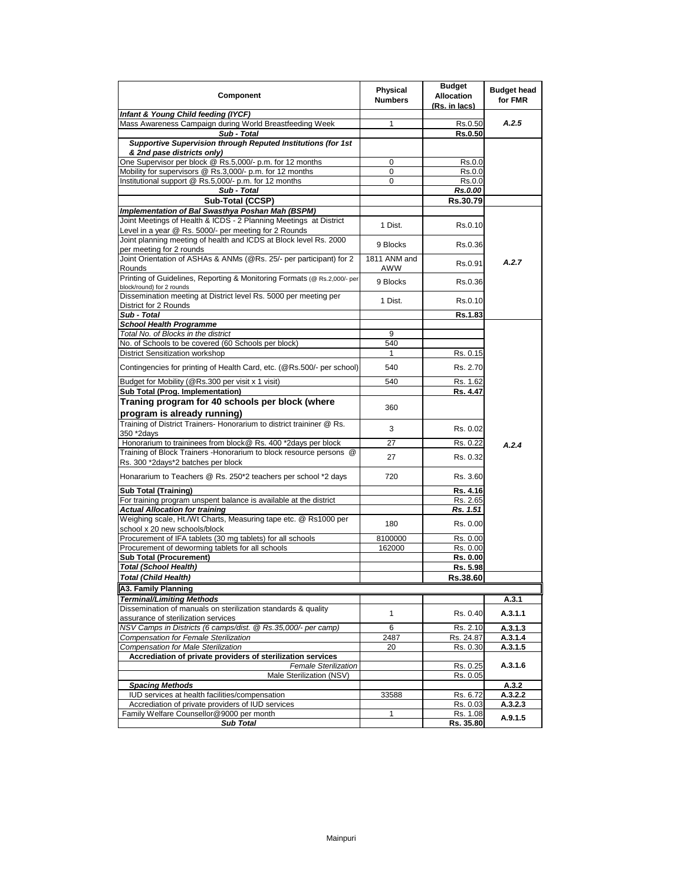| Component                                                                | Physical<br><b>Numbers</b> | <b>Budget</b><br><b>Allocation</b><br>(Rs. in lacs) | <b>Budget head</b><br>for FMR |
|--------------------------------------------------------------------------|----------------------------|-----------------------------------------------------|-------------------------------|
| Infant & Young Child feeding (IYCF)                                      |                            |                                                     |                               |
| Mass Awareness Campaign during World Breastfeeding Week                  | 1                          | Rs.0.50                                             | A.2.5                         |
| Sub - Total                                                              |                            | <b>Rs.0.50</b>                                      |                               |
| Supportive Supervision through Reputed Institutions (for 1st             |                            |                                                     |                               |
| & 2nd pase districts only)                                               |                            |                                                     |                               |
| One Supervisor per block @ Rs.5,000/- p.m. for 12 months                 | 0                          | Rs.0.0                                              |                               |
| Mobility for supervisors @ Rs.3,000/- p.m. for 12 months                 | 0                          | Rs.0.0                                              |                               |
| Institutional support @ Rs.5,000/- p.m. for 12 months                    | $\Omega$                   | Rs.0.0                                              |                               |
| Sub - Total                                                              |                            | Rs.0.00                                             |                               |
| Sub-Total (CCSP)                                                         |                            | Rs.30.79                                            |                               |
| Implementation of Bal Swasthya Poshan Mah (BSPM)                         |                            |                                                     |                               |
| Joint Meetings of Health & ICDS - 2 Planning Meetings at District        |                            |                                                     |                               |
| Level in a year @ Rs. 5000/- per meeting for 2 Rounds                    | 1 Dist.                    | Rs.0.10                                             |                               |
| Joint planning meeting of health and ICDS at Block level Rs. 2000        |                            |                                                     |                               |
| per meeting for 2 rounds                                                 | 9 Blocks                   | Rs.0.36                                             |                               |
| Joint Orientation of ASHAs & ANMs (@Rs. 25/- per participant) for 2      | 1811 ANM and               |                                                     |                               |
| Rounds                                                                   | AWW                        | Rs.0.91                                             | A.2.7                         |
| Printing of Guidelines, Reporting & Monitoring Formats (@ Rs.2,000/- per |                            |                                                     |                               |
| block/round) for 2 rounds                                                | 9 Blocks                   | Rs.0.36                                             |                               |
| Dissemination meeting at District level Rs. 5000 per meeting per         |                            |                                                     |                               |
| District for 2 Rounds                                                    | 1 Dist.                    | Rs.0.10                                             |                               |
| Sub - Total                                                              |                            | Rs.1.83                                             |                               |
| <b>School Health Programme</b>                                           |                            |                                                     |                               |
| Total No. of Blocks in the district                                      | 9                          |                                                     |                               |
| No. of Schools to be covered (60 Schools per block)                      | 540                        |                                                     |                               |
| <b>District Sensitization workshop</b>                                   | 1                          | Rs. 0.15                                            |                               |
|                                                                          |                            |                                                     |                               |
| Contingencies for printing of Health Card, etc. (@Rs.500/- per school)   | 540                        | Rs. 2.70                                            |                               |
|                                                                          | 540                        |                                                     |                               |
| Budget for Mobility (@Rs.300 per visit x 1 visit)                        |                            | Rs. 1.62                                            |                               |
| Sub Total (Prog. Implementation)                                         |                            | Rs. 4.47                                            |                               |
| Traning program for 40 schools per block (where                          | 360                        |                                                     |                               |
| program is already running)                                              |                            |                                                     |                               |
| Training of District Trainers- Honorarium to district traininer @ Rs.    |                            |                                                     |                               |
| 350 *2days                                                               | 3                          | Rs. 0.02                                            |                               |
| Honorarium to traininees from block@ Rs. 400 *2days per block            | 27                         | Rs. 0.22                                            | A.2.4                         |
| Training of Block Trainers - Honorarium to block resource persons @      |                            |                                                     |                               |
| Rs. 300 *2days*2 batches per block                                       | 27                         | Rs. 0.32                                            |                               |
|                                                                          |                            |                                                     |                               |
| Honararium to Teachers @ Rs. 250*2 teachers per school *2 days           | 720                        | Rs. 3.60                                            |                               |
| <b>Sub Total (Training)</b>                                              |                            | Rs. 4.16                                            |                               |
| For training program unspent balance is available at the district        |                            | Rs. 2.65                                            |                               |
| <b>Actual Allocation for training</b>                                    |                            | Rs. 1.51                                            |                               |
| Weighing scale, Ht./Wt Charts, Measuring tape etc. @ Rs1000 per          |                            |                                                     |                               |
| school x 20 new schools/block                                            | 180                        | Rs. 0.00                                            |                               |
| Procurement of IFA tablets (30 mg tablets) for all schools               | 8100000                    | Rs. 0.00                                            |                               |
| Procurement of deworming tablets for all schools                         | 162000                     | Rs. 0.00                                            |                               |
| <b>Sub Total (Procurement)</b>                                           |                            | Rs. 0.00                                            |                               |
| Total (School Health)                                                    |                            | Rs. 5.98                                            |                               |
| <b>Total (Child Health)</b>                                              |                            | Rs.38.60                                            |                               |
|                                                                          |                            |                                                     |                               |
| A3. Family Planning                                                      |                            |                                                     |                               |
| <b>Terminal/Limiting Methods</b>                                         |                            |                                                     | A.3.1                         |
| Dissemination of manuals on sterilization standards & quality            | 1                          | Rs. 0.40                                            | A.3.1.1                       |
| assurance of sterilization services                                      |                            |                                                     |                               |
| NSV Camps in Districts (6 camps/dist. @ Rs.35,000/- per camp)            | 6                          | Rs. 2.10                                            | A.3.1.3                       |
| Compensation for Female Sterilization                                    | 2487                       | Rs. 24.87                                           | A.3.1.4                       |
| Compensation for Male Sterilization                                      | 20                         | Rs. 0.30                                            | A.3.1.5                       |
| Accrediation of private providers of sterilization services              |                            |                                                     |                               |
| <b>Female Sterilization</b>                                              |                            | Rs. 0.25                                            | A.3.1.6                       |
| Male Sterilization (NSV)                                                 |                            | Rs. 0.05                                            |                               |
| <b>Spacing Methods</b>                                                   |                            |                                                     | A.3.2                         |
| IUD services at health facilities/compensation                           | 33588                      | Rs. 6.72                                            | A.3.2.2                       |
| Accrediation of private providers of IUD services                        |                            | Rs. 0.03                                            | A.3.2.3                       |
| Family Welfare Counsellor@9000 per month                                 | $\mathbf{1}$               | Rs. 1.08                                            |                               |
| <b>Sub Total</b>                                                         |                            | Rs. 35.80                                           | A.9.1.5                       |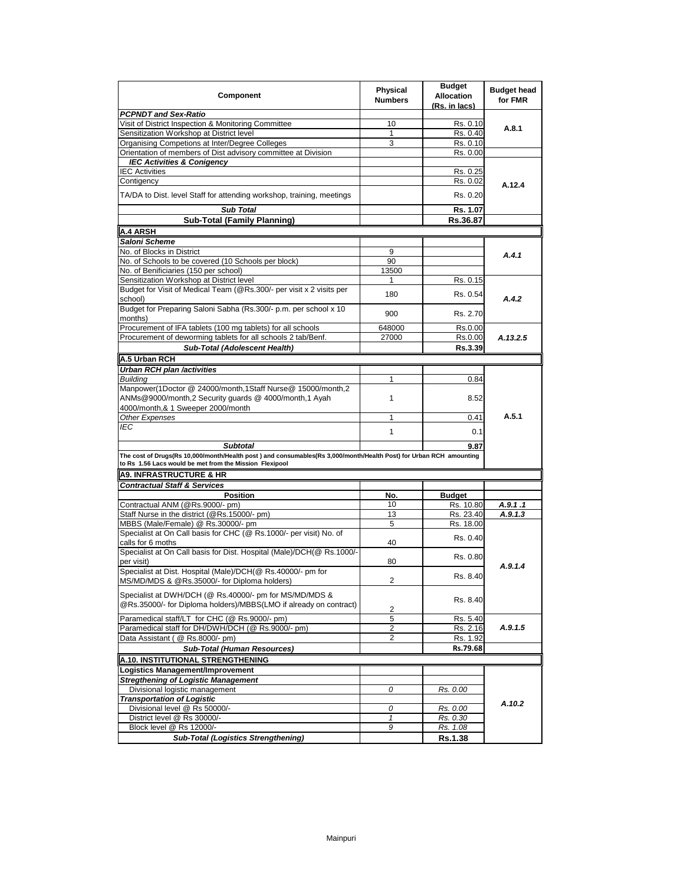| Component                                                                                                                                                                                        | <b>Physical</b><br><b>Numbers</b> | <b>Budget</b><br><b>Allocation</b><br>(Rs. in lacs) | <b>Budget head</b><br>for FMR |
|--------------------------------------------------------------------------------------------------------------------------------------------------------------------------------------------------|-----------------------------------|-----------------------------------------------------|-------------------------------|
| <b>PCPNDT and Sex-Ratio</b>                                                                                                                                                                      |                                   |                                                     |                               |
| Visit of District Inspection & Monitoring Committee                                                                                                                                              | 10                                | Rs. 0.10                                            | A.8.1                         |
| Sensitization Workshop at District level                                                                                                                                                         | 1                                 | Rs. 0.40                                            |                               |
| Organising Competions at Inter/Degree Colleges                                                                                                                                                   | 3                                 | Rs. 0.10                                            |                               |
| Orientation of members of Dist advisory committee at Division                                                                                                                                    |                                   | Rs. 0.00                                            |                               |
| <b>IEC Activities &amp; Conigency</b>                                                                                                                                                            |                                   |                                                     |                               |
| <b>IEC Activities</b>                                                                                                                                                                            |                                   | Rs. 0.25                                            |                               |
| Contigency                                                                                                                                                                                       |                                   | Rs. 0.02                                            | A.12.4                        |
| TA/DA to Dist. level Staff for attending workshop, training, meetings                                                                                                                            |                                   | Rs. 0.20                                            |                               |
| Sub Total                                                                                                                                                                                        |                                   | Rs. 1.07                                            |                               |
| <b>Sub-Total (Family Planning)</b>                                                                                                                                                               |                                   | Rs.36.87                                            |                               |
|                                                                                                                                                                                                  |                                   |                                                     |                               |
| <b>A.4 ARSH</b>                                                                                                                                                                                  |                                   |                                                     |                               |
| Saloni Scheme                                                                                                                                                                                    |                                   |                                                     |                               |
| No. of Blocks in District                                                                                                                                                                        | 9                                 |                                                     | A.4.1                         |
| No. of Schools to be covered (10 Schools per block)                                                                                                                                              | 90                                |                                                     |                               |
| No. of Benificiaries (150 per school)                                                                                                                                                            | 13500                             |                                                     |                               |
| Sensitization Workshop at District level                                                                                                                                                         | 1                                 | Rs. 0.15                                            |                               |
| Budget for Visit of Medical Team (@Rs.300/- per visit x 2 visits per<br>school)                                                                                                                  | 180                               | Rs. 0.54                                            | A.4.2                         |
| Budget for Preparing Saloni Sabha (Rs.300/- p.m. per school x 10<br>months)                                                                                                                      | 900                               | Rs. 2.70                                            |                               |
| Procurement of IFA tablets (100 mg tablets) for all schools                                                                                                                                      | 648000                            | Rs.0.00                                             |                               |
| Procurement of deworming tablets for all schools 2 tab/Benf.                                                                                                                                     | 27000                             | Rs.0.00                                             | A.13.2.5                      |
| Sub-Total (Adolescent Health)                                                                                                                                                                    |                                   |                                                     |                               |
|                                                                                                                                                                                                  |                                   | Rs.3.39                                             |                               |
| A.5 Urban RCH                                                                                                                                                                                    |                                   |                                                     |                               |
| Urban RCH plan /activities                                                                                                                                                                       |                                   |                                                     |                               |
| <b>Buildina</b>                                                                                                                                                                                  | $\mathbf{1}$                      | 0.84                                                |                               |
| Manpower(1Doctor @ 24000/month,1Staff Nurse@ 15000/month,2<br>ANMs@9000/month,2 Security guards @ 4000/month,1 Ayah<br>4000/month,& 1 Sweeper 2000/month                                         | $\mathbf{1}$                      | 8.52                                                |                               |
| Other Expenses                                                                                                                                                                                   | 1                                 | 0.41                                                | A.5.1                         |
| IEC                                                                                                                                                                                              | $\mathbf{1}$                      | 0.1                                                 |                               |
|                                                                                                                                                                                                  |                                   |                                                     |                               |
| <b>Subtotal</b><br>The cost of Drugs(Rs 10,000/month/Health post) and consumables(Rs 3,000/month/Health Post) for Urban RCH amounting<br>to Rs 1.56 Lacs would be met from the Mission Flexipool |                                   | 9.87                                                |                               |
| <b>A9. INFRASTRUCTURE &amp; HR</b>                                                                                                                                                               |                                   |                                                     |                               |
| <b>Contractual Staff &amp; Services</b>                                                                                                                                                          |                                   |                                                     |                               |
| <b>Position</b>                                                                                                                                                                                  | No.                               | <b>Budget</b>                                       |                               |
| Contractual ANM (@Rs.9000/- pm)                                                                                                                                                                  | 10                                | Rs. 10.80                                           | A.9.1.1                       |
|                                                                                                                                                                                                  | 13                                |                                                     | A.9.1.3                       |
| Staff Nurse in the district (@Rs.15000/- pm)                                                                                                                                                     | 5                                 | Rs. 23.40<br>Rs. 18.00                              |                               |
| MBBS (Male/Female) @ Rs.30000/- pm<br>Specialist at On Call basis for CHC (@ Rs.1000/- per visit) No. of                                                                                         |                                   | Rs. 0.40                                            |                               |
| calls for 6 moths                                                                                                                                                                                | 40                                |                                                     |                               |
| Specialist at On Call basis for Dist. Hospital (Male)/DCH(@ Rs.1000/-<br>per visit)                                                                                                              | 80                                | Rs. 0.80                                            | A.9.1.4                       |
| Specialist at Dist. Hospital (Male)/DCH(@ Rs.40000/- pm for<br>MS/MD/MDS & @Rs.35000/- for Diploma holders)                                                                                      | $\overline{\mathbf{c}}$           | Rs. 8.40                                            |                               |
| Specialist at DWH/DCH (@ Rs.40000/- pm for MS/MD/MDS &<br>@Rs.35000/- for Diploma holders)/MBBS(LMO if already on contract)                                                                      | 2                                 | Rs. 8.40                                            |                               |
| Paramedical staff/LT for CHC (@ Rs.9000/- pm)                                                                                                                                                    | 5                                 | Rs. 5.40                                            |                               |
| Paramedical staff for DH/DWH/DCH (@ Rs.9000/- pm)                                                                                                                                                | 2                                 | Rs. 2.16                                            | A.9.1.5                       |
| Data Assistant (@ Rs.8000/- pm)                                                                                                                                                                  | 2                                 |                                                     |                               |
|                                                                                                                                                                                                  |                                   | Rs. 1.92                                            |                               |
| <b>Sub-Total (Human Resources)</b>                                                                                                                                                               |                                   | Rs.79.68                                            |                               |
| A.10. INSTITUTIONAL STRENGTHENING                                                                                                                                                                |                                   |                                                     |                               |
| Logistics Management/Improvement                                                                                                                                                                 |                                   |                                                     |                               |
| <b>Stregthening of Logistic Management</b>                                                                                                                                                       |                                   |                                                     |                               |
| Divisional logistic management                                                                                                                                                                   | 0                                 | Rs. 0.00                                            |                               |
| <b>Transportation of Logistic</b>                                                                                                                                                                |                                   |                                                     | A.10.2                        |
| Divisional level @ Rs 50000/-                                                                                                                                                                    | 0                                 | Rs. 0.00                                            |                               |
| District level @ Rs 30000/-                                                                                                                                                                      | $\mathbf{1}$                      | Rs. 0.30                                            |                               |
| Block level @ Rs 12000/-                                                                                                                                                                         | 9                                 | Rs. 1.08                                            |                               |
| <b>Sub-Total (Logistics Strengthening)</b>                                                                                                                                                       |                                   | Rs.1.38                                             |                               |
|                                                                                                                                                                                                  |                                   |                                                     |                               |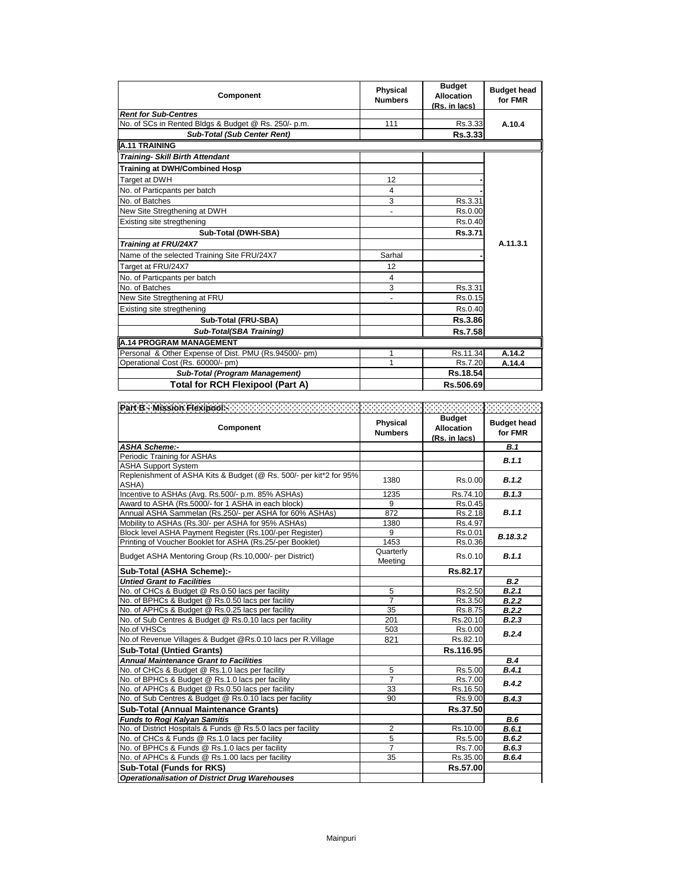| Component                                             | <b>Physical</b><br><b>Numbers</b> | <b>Budget</b><br><b>Allocation</b><br>(Rs. in lacs) | <b>Budget head</b><br>for FMR |
|-------------------------------------------------------|-----------------------------------|-----------------------------------------------------|-------------------------------|
| <b>Rent for Sub-Centres</b>                           |                                   |                                                     |                               |
| No. of SCs in Rented Bldgs & Budget @ Rs. 250/- p.m.  | 111                               | Rs.3.33                                             | A.10.4                        |
| <b>Sub-Total (Sub Center Rent)</b>                    |                                   | Rs.3.33                                             |                               |
| <b>A.11 TRAINING</b>                                  |                                   |                                                     |                               |
| <b>Training- Skill Birth Attendant</b>                |                                   |                                                     |                               |
| <b>Training at DWH/Combined Hosp</b>                  |                                   |                                                     |                               |
| Target at DWH                                         | 12                                |                                                     |                               |
| No. of Particpants per batch                          | 4                                 |                                                     |                               |
| No. of Batches                                        | 3                                 | Rs.3.31                                             |                               |
| New Site Stregthening at DWH                          | $\overline{a}$                    | Rs.0.00                                             |                               |
| Existing site stregthening                            |                                   | Rs.0.40                                             |                               |
| Sub-Total (DWH-SBA)                                   |                                   | Rs.3.71                                             |                               |
| Training at FRU/24X7                                  |                                   |                                                     | A.11.3.1                      |
| Name of the selected Training Site FRU/24X7           | Sarhal                            |                                                     |                               |
| Target at FRU/24X7                                    | 12                                |                                                     |                               |
| No. of Particpants per batch                          | 4                                 |                                                     |                               |
| No. of Batches                                        | 3                                 | Rs.3.31                                             |                               |
| New Site Stregthening at FRU                          |                                   | Rs.0.15                                             |                               |
| Existing site stregthening                            |                                   | Rs.0.40                                             |                               |
| Sub-Total (FRU-SBA)                                   |                                   | Rs.3.86                                             |                               |
| Sub-Total(SBA Training)                               |                                   | <b>Rs.7.58</b>                                      |                               |
| <b>A.14 PROGRAM MANAGEMENT</b>                        |                                   |                                                     |                               |
| Personal & Other Expense of Dist. PMU (Rs.94500/- pm) | 1                                 | Rs.11.34                                            | A.14.2                        |
| Operational Cost (Rs. 60000/- pm)                     | 1                                 | Rs.7.20                                             | A.14.4                        |
| <b>Sub-Total (Program Management)</b>                 |                                   | Rs.18.54                                            |                               |
| Total for RCH Flexipool (Part A)                      |                                   | Rs.506.69                                           |                               |

| Part B - Mission Flexipools and a contract of the Mission<br><b>Component</b> | Physical<br><b>Numbers</b> | <b>Budget</b><br><b>Allocation</b><br>(Rs. in lacs) | <b>Budget head</b><br>for FMR |
|-------------------------------------------------------------------------------|----------------------------|-----------------------------------------------------|-------------------------------|
| <b>ASHA Scheme:-</b>                                                          |                            |                                                     | B.1                           |
| Periodic Training for ASHAs                                                   |                            |                                                     | B.1.1                         |
| <b>ASHA Support System</b>                                                    |                            |                                                     |                               |
| Replenishment of ASHA Kits & Budget (@ Rs. 500/- per kit*2 for 95%)<br>ASHA)  | 1380                       | Rs.0.00                                             | B.1.2                         |
| Incentive to ASHAs (Avg. Rs.500/- p.m. 85% ASHAs)                             | 1235                       | Rs.74.10                                            | B.1.3                         |
| Award to ASHA (Rs.5000/- for 1 ASHA in each block)                            | 9                          | Rs.0.45                                             |                               |
| Annual ASHA Sammelan (Rs.250/- per ASHA for 60% ASHAs)                        | 872                        | Rs.2.18                                             | B.1.1                         |
| Mobility to ASHAs (Rs.30/- per ASHA for 95% ASHAs)                            | 1380                       | Rs.4.97                                             |                               |
| Block level ASHA Payment Register (Rs.100/-per Register)                      | 9                          | Rs.0.01                                             |                               |
| Printing of Voucher Booklet for ASHA (Rs.25/-per Booklet)                     | 1453                       | Rs.0.36                                             | B.18.3.2                      |
| Budget ASHA Mentoring Group (Rs.10,000/- per District)                        | Quarterly<br>Meeting       | Rs.0.10                                             | B.1.1                         |
| Sub-Total (ASHA Scheme):-                                                     |                            | Rs.82.17                                            |                               |
| <b>Untied Grant to Facilities</b>                                             |                            |                                                     | B.2                           |
| No. of CHCs & Budget @ Rs.0.50 lacs per facility                              | 5                          | Rs.2.50                                             | B.2.1                         |
| No. of BPHCs & Budget @ Rs.0.50 lacs per facility                             | 7                          | Rs.3.50                                             | B.2.2                         |
| No. of APHCs & Budget @ Rs.0.25 lacs per facility                             | 35                         | Rs.8.75                                             | B.2.2                         |
| No. of Sub Centres & Budget @ Rs.0.10 lacs per facility                       | 201                        | Rs.20.10                                            | B.2.3                         |
| No.of VHSCs                                                                   | 503                        | Rs.0.00                                             | B.2.4                         |
| No.of Revenue Villages & Budget @Rs.0.10 lacs per R.Village                   | 821                        | Rs.82.10                                            |                               |
| <b>Sub-Total (Untied Grants)</b>                                              |                            | Rs.116.95                                           |                               |
| <b>Annual Maintenance Grant to Facilities</b>                                 |                            |                                                     | <b>B.4</b>                    |
| No. of CHCs & Budget @ Rs.1.0 lacs per facility                               | 5                          | Rs.5.00                                             | B.4.1                         |
| No. of BPHCs & Budget @ Rs.1.0 lacs per facility                              | $\overline{7}$             | Rs.7.00                                             | B.4.2                         |
| No. of APHCs & Budget @ Rs.0.50 lacs per facility                             | 33                         | Rs.16.50                                            |                               |
| No. of Sub Centres & Budget @ Rs.0.10 lacs per facility                       | 90                         | Rs.9.00                                             | B.4.3                         |
| <b>Sub-Total (Annual Maintenance Grants)</b>                                  |                            | Rs.37.50                                            |                               |
| <b>Funds to Rogi Kalyan Samitis</b>                                           |                            |                                                     | B.6                           |
| No. of District Hospitals & Funds @ Rs.5.0 lacs per facility                  | 2                          | Rs.10.00                                            | B.6.1                         |
| No. of CHCs & Funds @ Rs.1.0 lacs per facility                                | 5                          | Rs.5.00                                             | B.6.2                         |
| No. of BPHCs & Funds @ Rs.1.0 lacs per facility                               | $\overline{7}$             | Rs.7.00                                             | B.6.3                         |
| No. of APHCs & Funds @ Rs.1.00 lacs per facility                              | 35                         | Rs.35.00                                            | B.6.4                         |
| Sub-Total (Funds for RKS)                                                     |                            | Rs.57.00                                            |                               |
| <b>Operationalisation of District Drug Warehouses</b>                         |                            |                                                     |                               |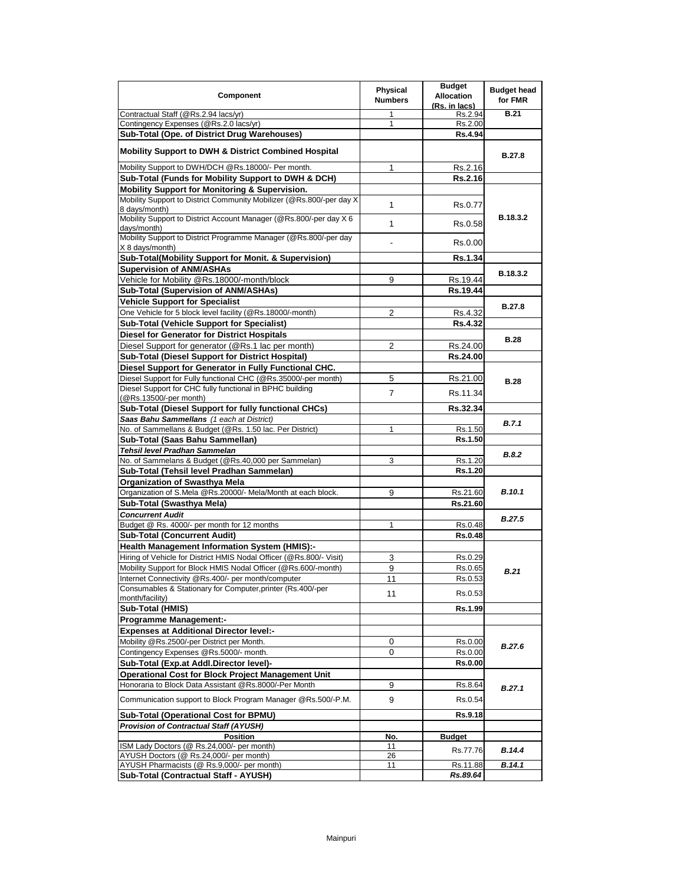| Component                                                                             | Physical<br><b>Numbers</b> | <b>Budget</b><br><b>Allocation</b><br>(Rs. in lacs) | <b>Budget head</b><br>for FMR |
|---------------------------------------------------------------------------------------|----------------------------|-----------------------------------------------------|-------------------------------|
| Contractual Staff (@Rs.2.94 lacs/yr)                                                  | 1                          | Rs.2.94                                             | <b>B.21</b>                   |
| Contingency Expenses (@Rs.2.0 lacs/yr)                                                | 1                          | Rs.2.00                                             |                               |
| Sub-Total (Ope. of District Drug Warehouses)                                          |                            | <b>Rs.4.94</b>                                      |                               |
| <b>Mobility Support to DWH &amp; District Combined Hospital</b>                       |                            |                                                     | B.27.8                        |
| Mobility Support to DWH/DCH @Rs.18000/- Per month.                                    | 1                          | Rs.2.16                                             |                               |
| Sub-Total (Funds for Mobility Support to DWH & DCH)                                   |                            | Rs.2.16                                             |                               |
| Mobility Support for Monitoring & Supervision.                                        |                            |                                                     |                               |
| Mobility Support to District Community Mobilizer (@Rs.800/-per day X<br>8 days/month) | 1                          | Rs.0.77                                             |                               |
| Mobility Support to District Account Manager (@Rs.800/-per day X 6<br>days/month)     | 1                          | Rs.0.58                                             | B.18.3.2                      |
| Mobility Support to District Programme Manager (@Rs.800/-per day<br>X 8 days/month)   |                            | Rs.0.00                                             |                               |
| Sub-Total(Mobility Support for Monit. & Supervision)                                  |                            | Rs.1.34                                             |                               |
| <b>Supervision of ANM/ASHAs</b>                                                       |                            |                                                     | B.18.3.2                      |
| Vehicle for Mobility @Rs.18000/-month/block                                           | 9                          | Rs.19.44                                            |                               |
| Sub-Total (Supervision of ANM/ASHAs)                                                  |                            | Rs.19.44                                            |                               |
| <b>Vehicle Support for Specialist</b>                                                 |                            |                                                     | <b>B.27.8</b>                 |
| One Vehicle for 5 block level facility (@Rs.18000/-month)                             | 2                          | Rs.4.32                                             |                               |
| Sub-Total (Vehicle Support for Specialist)                                            |                            | Rs.4.32                                             |                               |
| Diesel for Generator for District Hospitals                                           |                            |                                                     |                               |
| Diesel Support for generator (@Rs.1 lac per month)                                    | 2                          | Rs.24.00                                            | <b>B.28</b>                   |
| <b>Sub-Total (Diesel Support for District Hospital)</b>                               |                            | Rs.24.00                                            |                               |
| Diesel Support for Generator in Fully Functional CHC.                                 |                            |                                                     |                               |
| Diesel Support for Fully functional CHC (@Rs.35000/-per month)                        | 5                          | Rs.21.00                                            | <b>B.28</b>                   |
| Diesel Support for CHC fully functional in BPHC building<br>(@Rs.13500/-per month)    | $\overline{7}$             | Rs.11.34                                            |                               |
| Sub-Total (Diesel Support for fully functional CHCs)                                  |                            | Rs.32.34                                            |                               |
| Saas Bahu Sammellans (1 each at District)                                             |                            |                                                     |                               |
| No. of Sammellans & Budget (@Rs. 1.50 lac. Per District)                              | 1                          | Rs.1.50                                             | B.7.1                         |
| Sub-Total (Saas Bahu Sammellan)                                                       |                            | Rs.1.50                                             |                               |
| Tehsil level Pradhan Sammelan                                                         |                            |                                                     |                               |
| No. of Sammelans & Budget (@Rs.40,000 per Sammelan)                                   | 3                          | Rs.1.20                                             | <b>B.8.2</b>                  |
| Sub-Total (Tehsil level Pradhan Sammelan)                                             |                            | Rs.1.20                                             |                               |
| <b>Organization of Swasthya Mela</b>                                                  |                            |                                                     |                               |
| Organization of S.Mela @Rs.20000/- Mela/Month at each block.                          | 9                          | Rs.21.60                                            | <b>B.10.1</b>                 |
| Sub-Total (Swasthya Mela)                                                             |                            | Rs.21.60                                            |                               |
| <b>Concurrent Audit</b>                                                               |                            |                                                     | <b>B.27.5</b>                 |
| Budget @ Rs. 4000/- per month for 12 months                                           | 1                          | Rs.0.48                                             |                               |
| <b>Sub-Total (Concurrent Audit)</b>                                                   |                            | <b>Rs.0.48</b>                                      |                               |
| <b>Health Management Information System (HMIS):-</b>                                  |                            |                                                     |                               |
| Hiring of Vehicle for District HMIS Nodal Officer (@Rs.800/- Visit)                   | 3                          | Rs.0.29                                             |                               |
| Mobility Support for Block HMIS Nodal Officer (@Rs.600/-month)                        | 9                          | Rs.0.65                                             | <b>B.21</b>                   |
| Internet Connectivity @Rs.400/- per month/computer                                    | 11                         | Rs.0.53                                             |                               |
| Consumables & Stationary for Computer, printer (Rs.400/-per                           | 11                         | Rs.0.53                                             |                               |
| month/facility)                                                                       |                            |                                                     |                               |
| Sub-Total (HMIS)                                                                      |                            | Rs.1.99                                             |                               |
| Programme Management:-                                                                |                            |                                                     |                               |
| <b>Expenses at Additional Director level:-</b>                                        |                            |                                                     |                               |
| Mobility @Rs.2500/-per District per Month.                                            | 0                          | Rs.0.00                                             | B.27.6                        |
| Contingency Expenses @Rs.5000/- month.                                                | 0                          | Rs.0.00                                             |                               |
| Sub-Total (Exp.at Addl.Director level)-                                               |                            | Rs.0.00                                             |                               |
| <b>Operational Cost for Block Project Management Unit</b>                             |                            |                                                     |                               |
| Honoraria to Block Data Assistant @Rs.8000/-Per Month                                 | 9                          | Rs.8.64                                             | B.27.1                        |
| Communication support to Block Program Manager @Rs.500/-P.M.                          | 9                          | Rs.0.54                                             |                               |
| Sub-Total (Operational Cost for BPMU)                                                 |                            | Rs.9.18                                             |                               |
| <b>Provision of Contractual Staff (AYUSH)</b>                                         |                            |                                                     |                               |
| <b>Position</b>                                                                       | No.                        | <b>Budget</b>                                       |                               |
| ISM Lady Doctors (@ Rs.24,000/- per month)<br>AYUSH Doctors (@ Rs.24,000/- per month) | 11<br>26                   | Rs.77.76                                            | B.14.4                        |
| AYUSH Pharmacists (@ Rs.9,000/- per month)                                            | 11                         | Rs.11.88                                            | B.14.1                        |
| Sub-Total (Contractual Staff - AYUSH)                                                 |                            | Rs.89.64                                            |                               |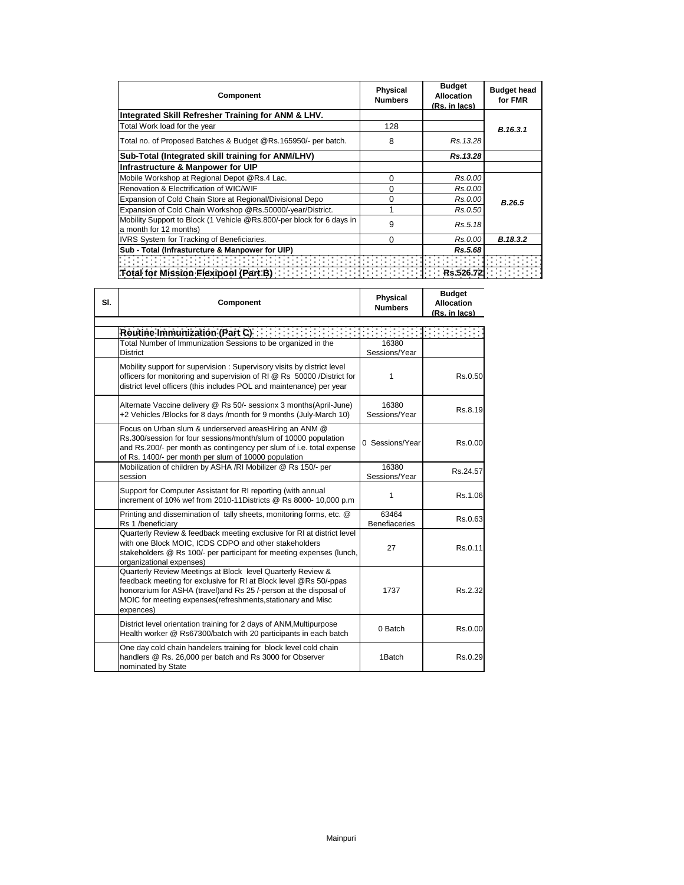| Component                                                                                       | <b>Physical</b><br><b>Numbers</b> | <b>Budget</b><br><b>Allocation</b><br>(Rs. in lacs) | <b>Budget head</b><br>for FMR |
|-------------------------------------------------------------------------------------------------|-----------------------------------|-----------------------------------------------------|-------------------------------|
| Integrated Skill Refresher Training for ANM & LHV.                                              |                                   |                                                     |                               |
| Total Work load for the year                                                                    | 128                               |                                                     | B.16.3.1                      |
| Total no. of Proposed Batches & Budget @Rs.165950/- per batch.                                  | 8                                 | Rs. 13.28                                           |                               |
| Sub-Total (Integrated skill training for ANM/LHV)                                               |                                   | Rs.13.28                                            |                               |
| Infrastructure & Manpower for UIP                                                               |                                   |                                                     |                               |
| Mobile Workshop at Regional Depot @Rs.4 Lac.                                                    | 0                                 | Rs.0.00                                             |                               |
| Renovation & Electrification of WIC/WIF                                                         | 0                                 | Rs.0.00                                             |                               |
| Expansion of Cold Chain Store at Regional/Divisional Depo                                       | 0                                 | Rs.0.00                                             | B.26.5                        |
| Expansion of Cold Chain Workshop @Rs.50000/-year/District.                                      |                                   | Rs.0.50                                             |                               |
| Mobility Support to Block (1 Vehicle @Rs.800/-per block for 6 days in<br>a month for 12 months) | 9                                 | Rs.5.18                                             |                               |
| IVRS System for Tracking of Beneficiaries.                                                      | 0                                 | Rs.0.00                                             | B.18.3.2                      |
| Sub - Total (Infrasturcture & Manpower for UIP)                                                 |                                   | Rs.5.68                                             |                               |
|                                                                                                 |                                   |                                                     |                               |
| Total for Mission Flexipool (Part B)                                                            |                                   | Rs.526                                              |                               |

**Budget** 

 $\mathbf{I}$ 

| SI. | Component                                                                                                                                                                                                                                                                          | Physical<br><b>Numbers</b>    | nuuget<br><b>Allocation</b><br>(Rs. in lacs) |
|-----|------------------------------------------------------------------------------------------------------------------------------------------------------------------------------------------------------------------------------------------------------------------------------------|-------------------------------|----------------------------------------------|
|     | Routine Immunization (Part C) <b>Container and Containers</b>                                                                                                                                                                                                                      |                               |                                              |
|     | Total Number of Immunization Sessions to be organized in the<br><b>District</b>                                                                                                                                                                                                    | 16380<br>Sessions/Year        |                                              |
|     | Mobility support for supervision: Supervisory visits by district level<br>officers for monitoring and supervision of RI @ Rs 50000 /District for<br>district level officers (this includes POL and maintenance) per year                                                           | 1                             | Rs.0.50                                      |
|     | Alternate Vaccine delivery @ Rs 50/- sessionx 3 months(April-June)<br>+2 Vehicles /Blocks for 8 days /month for 9 months (July-March 10)                                                                                                                                           | 16380<br>Sessions/Year        | Rs.8.19                                      |
|     | Focus on Urban slum & underserved areasHiring an ANM @<br>Rs.300/session for four sessions/month/slum of 10000 population<br>and Rs.200/- per month as contingency per slum of i.e. total expense<br>of Rs. 1400/- per month per slum of 10000 population                          | 0 Sessions/Year               | Rs.0.00                                      |
|     | Mobilization of children by ASHA /RI Mobilizer @ Rs 150/- per<br>session                                                                                                                                                                                                           | 16380<br>Sessions/Year        | Rs.24.57                                     |
|     | Support for Computer Assistant for RI reporting (with annual<br>increment of 10% wef from 2010-11Districts @ Rs 8000- 10,000 p.m                                                                                                                                                   | 1                             | Rs.1.06                                      |
|     | Printing and dissemination of tally sheets, monitoring forms, etc. @<br>Rs 1 /beneficiarv                                                                                                                                                                                          | 63464<br><b>Benefiaceries</b> | Rs.0.63                                      |
|     | Quarterly Review & feedback meeting exclusive for RI at district level<br>with one Block MOIC, ICDS CDPO and other stakeholders<br>stakeholders @ Rs 100/- per participant for meeting expenses (lunch,<br>organizational expenses)                                                | 27                            | Rs.0.11                                      |
|     | Quarterly Review Meetings at Block level Quarterly Review &<br>feedback meeting for exclusive for RI at Block level @Rs 50/-ppas<br>honorarium for ASHA (travel) and Rs 25 /-person at the disposal of<br>MOIC for meeting expenses(refreshments, stationary and Misc<br>expences) | 1737                          | Rs.2.32                                      |
|     | District level orientation training for 2 days of ANM, Multipurpose<br>Health worker @ Rs67300/batch with 20 participants in each batch                                                                                                                                            | 0 Batch                       | Rs.0.00                                      |
|     | One day cold chain handelers training for block level cold chain<br>handlers @ Rs. 26,000 per batch and Rs 3000 for Observer<br>nominated by State                                                                                                                                 | 1Batch                        | Rs.0.29                                      |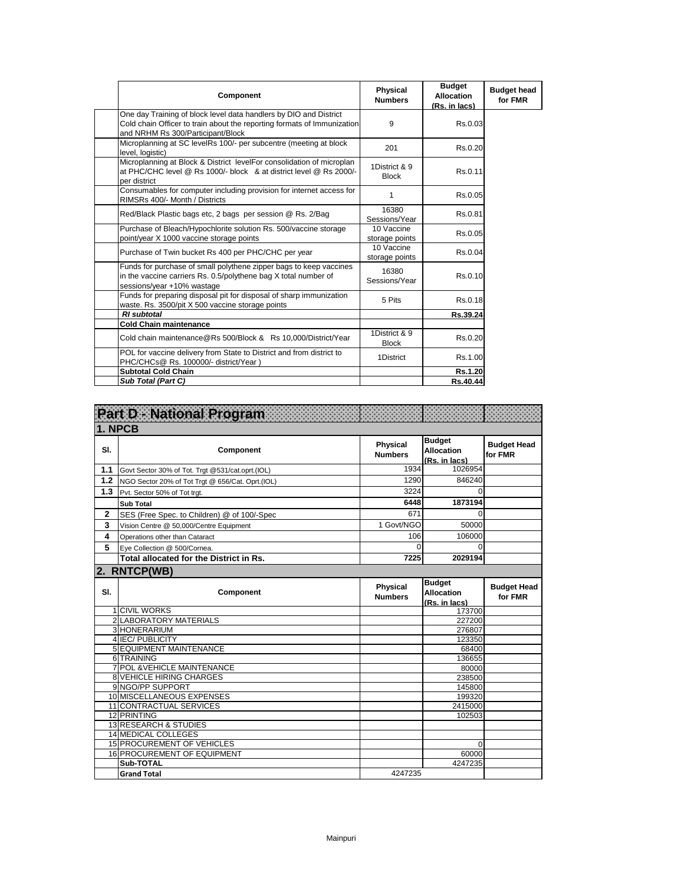| <b>Component</b>                                                                                                                                                                  | Physical<br><b>Numbers</b>    | <b>Budget</b><br><b>Allocation</b><br>(Rs. in lacs) | <b>Budget head</b><br>for FMR |
|-----------------------------------------------------------------------------------------------------------------------------------------------------------------------------------|-------------------------------|-----------------------------------------------------|-------------------------------|
| One day Training of block level data handlers by DIO and District<br>Cold chain Officer to train about the reporting formats of Immunization<br>and NRHM Rs 300/Participant/Block | 9                             | Rs.0.03                                             |                               |
| Microplanning at SC levelRs 100/- per subcentre (meeting at block<br>level, logistic)                                                                                             | 201                           | Rs.0.20                                             |                               |
| Microplanning at Block & District levelFor consolidation of microplan<br>at PHC/CHC level @ Rs 1000/- block & at district level @ Rs 2000/-<br>per district                       | 1District & 9<br><b>Block</b> | Rs.0.11                                             |                               |
| Consumables for computer including provision for internet access for<br>RIMSRs 400/- Month / Districts                                                                            | 1                             | Rs.0.05                                             |                               |
| Red/Black Plastic bags etc, 2 bags per session @ Rs. 2/Bag                                                                                                                        | 16380<br>Sessions/Year        | Rs.0.81                                             |                               |
| Purchase of Bleach/Hypochlorite solution Rs. 500/vaccine storage<br>point/year X 1000 vaccine storage points                                                                      | 10 Vaccine<br>storage points  | Rs.0.05                                             |                               |
| Purchase of Twin bucket Rs 400 per PHC/CHC per year                                                                                                                               | 10 Vaccine<br>storage points  | Rs.0.04                                             |                               |
| Funds for purchase of small polythene zipper bags to keep vaccines<br>in the vaccine carriers Rs. 0.5/polythene bag X total number of<br>sessions/year +10% wastage               | 16380<br>Sessions/Year        | Rs.0.10                                             |                               |
| Funds for preparing disposal pit for disposal of sharp immunization<br>waste. Rs. 3500/pit X 500 vaccine storage points                                                           | 5 Pits                        | Rs.0.18                                             |                               |
| <b>RI</b> subtotal                                                                                                                                                                |                               | Rs.39.24                                            |                               |
| <b>Cold Chain maintenance</b>                                                                                                                                                     |                               |                                                     |                               |
| Cold chain maintenance@Rs 500/Block & Rs 10,000/District/Year                                                                                                                     | 1District & 9<br><b>Block</b> | Rs.0.20                                             |                               |
| POL for vaccine delivery from State to District and from district to<br>PHC/CHCs@ Rs. 100000/- district/Year)                                                                     | 1District                     | Rs.1.00                                             |                               |
| <b>Subtotal Cold Chain</b>                                                                                                                                                        |                               | Rs.1.20                                             |                               |
| Sub Total (Part C)                                                                                                                                                                |                               | Rs.40.44                                            |                               |

|              | Part D. National Program                                       |                            |                                                     |                               |
|--------------|----------------------------------------------------------------|----------------------------|-----------------------------------------------------|-------------------------------|
| 1. NPCB      |                                                                |                            |                                                     |                               |
| SI.          | Component                                                      | Physical<br><b>Numbers</b> | <b>Budget</b><br><b>Allocation</b><br>(Rs. in lacs) | <b>Budget Head</b><br>for FMR |
| 1.1          | Govt Sector 30% of Tot. Trgt @531/cat.oprt.(IOL)               | 1934                       | 1026954                                             |                               |
| 1.2          | NGO Sector 20% of Tot Trgt @ 656/Cat. Oprt.(IOL)               | 1290                       | 846240                                              |                               |
| 1.3          | Pvt. Sector 50% of Tot trgt.                                   | 3224                       | $\Omega$                                            |                               |
|              | <b>Sub Total</b>                                               | 6448                       | 1873194                                             |                               |
| $\mathbf{2}$ | SES (Free Spec. to Children) @ of 100/-Spec                    | 671                        | $\Omega$                                            |                               |
| 3            | Vision Centre @ 50,000/Centre Equipment                        | 1 Govt/NGO                 | 50000                                               |                               |
| 4            | Operations other than Cataract                                 | 106                        | 106000                                              |                               |
| 5            | Eye Collection @ 500/Cornea.                                   | $\Omega$                   | $\Omega$                                            |                               |
|              | Total allocated for the District in Rs.                        | 7225                       | 2029194                                             |                               |
|              | 2. RNTCP(WB)                                                   |                            |                                                     |                               |
| SI.          | Component                                                      | Physical<br><b>Numbers</b> | <b>Budget</b><br><b>Allocation</b><br>(Rs. in lacs) | <b>Budget Head</b><br>for FMR |
|              | <b>1 CIVIL WORKS</b>                                           |                            | 173700                                              |                               |
|              | 2 LABORATORY MATERIALS                                         |                            | 227200                                              |                               |
|              | 3 HONERARIUM                                                   |                            |                                                     |                               |
|              |                                                                |                            | 276807                                              |                               |
|              | 4 IEC/ PUBLICITY                                               |                            | 123350                                              |                               |
|              | <b>5 EQUIPMENT MAINTENANCE</b>                                 |                            | 68400                                               |                               |
|              | 6 TRAINING                                                     |                            | 136655<br>80000                                     |                               |
|              | 7 POL & VEHICLE MAINTENANCE<br><b>8 VEHICLE HIRING CHARGES</b> |                            | 238500                                              |                               |
|              | 9 NGO/PP SUPPORT                                               |                            | 145800                                              |                               |
|              | 10 MISCELLANEOUS EXPENSES                                      |                            | 199320                                              |                               |
|              | 11 CONTRACTUAL SERVICES                                        |                            | 2415000                                             |                               |
|              | 12 PRINTING                                                    |                            | 102503                                              |                               |
|              | 13 RESEARCH & STUDIES                                          |                            |                                                     |                               |
|              | 14 MEDICAL COLLEGES                                            |                            |                                                     |                               |
|              | <b>15 PROCUREMENT OF VEHICLES</b>                              |                            | 0                                                   |                               |
|              | 16 PROCUREMENT OF EQUIPMENT<br>Sub-TOTAL                       |                            | 60000<br>4247235                                    |                               |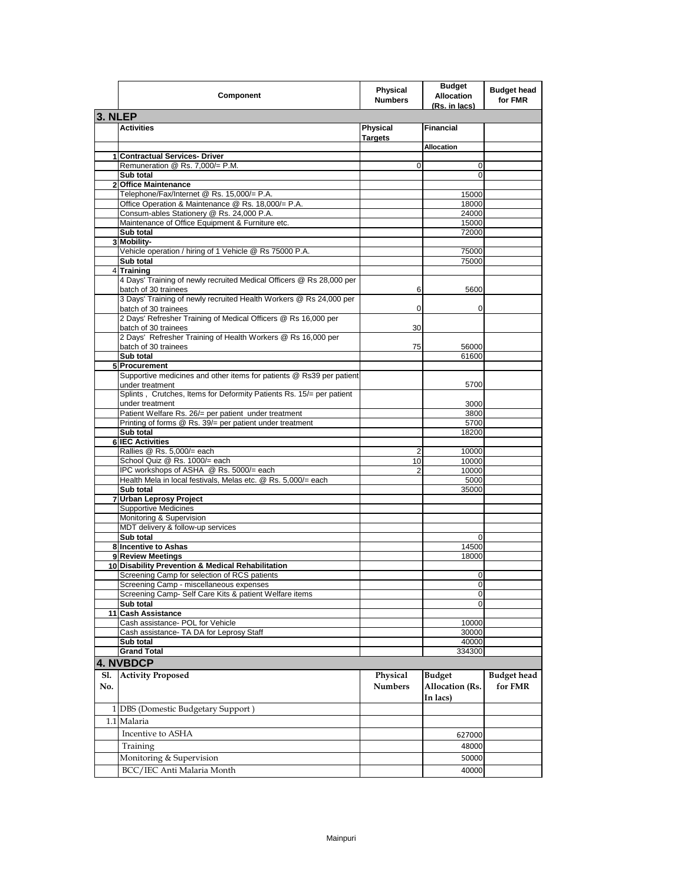|            | Component                                                                                    | Physical<br><b>Numbers</b>        | <b>Budget</b><br>Allocation<br>(Rs. in lacs) | <b>Budget head</b><br>for FMR |
|------------|----------------------------------------------------------------------------------------------|-----------------------------------|----------------------------------------------|-------------------------------|
| 3. NLEP    |                                                                                              |                                   |                                              |                               |
|            | <b>Activities</b>                                                                            | <b>Physical</b><br><b>Targets</b> | <b>Financial</b>                             |                               |
|            |                                                                                              |                                   | <b>Allocation</b>                            |                               |
|            | 1 Contractual Services- Driver                                                               |                                   |                                              |                               |
|            | Remuneration @ Rs. 7,000/= P.M.                                                              | 0                                 | 0                                            |                               |
|            | Sub total<br>2 Office Maintenance                                                            |                                   | $\mathbf 0$                                  |                               |
|            | Telephone/Fax/Internet @ Rs. 15,000/= P.A.                                                   |                                   | 15000                                        |                               |
|            | Office Operation & Maintenance @ Rs. 18,000/= P.A.                                           |                                   | 18000                                        |                               |
|            | Consum-ables Stationery @ Rs. 24,000 P.A.                                                    |                                   | 24000                                        |                               |
|            | Maintenance of Office Equipment & Furniture etc.                                             |                                   | 15000                                        |                               |
|            | Sub total                                                                                    |                                   | 72000                                        |                               |
|            | 3 Mobility-<br>Vehicle operation / hiring of 1 Vehicle @ Rs 75000 P.A.                       |                                   | 75000                                        |                               |
|            | Sub total                                                                                    |                                   | 75000                                        |                               |
|            | 4 Training                                                                                   |                                   |                                              |                               |
|            | 4 Days' Training of newly recruited Medical Officers @ Rs 28,000 per<br>batch of 30 trainees | 6                                 | 5600                                         |                               |
|            | 3 Days' Training of newly recruited Health Workers @ Rs 24,000 per<br>batch of 30 trainees   | 0                                 | 0                                            |                               |
|            | 2 Days' Refresher Training of Medical Officers @ Rs 16,000 per<br>batch of 30 trainees       | 30                                |                                              |                               |
|            | 2 Days' Refresher Training of Health Workers @ Rs 16,000 per<br>batch of 30 trainees         | 75                                | 56000                                        |                               |
|            | Sub total                                                                                    |                                   | 61600                                        |                               |
|            | 5 Procurement                                                                                |                                   |                                              |                               |
|            | Supportive medicines and other items for patients @ Rs39 per patient                         |                                   |                                              |                               |
|            | under treatment                                                                              |                                   | 5700                                         |                               |
|            | Splints, Crutches, Items for Deformity Patients Rs. 15/= per patient<br>under treatment      |                                   |                                              |                               |
|            | Patient Welfare Rs. 26/= per patient under treatment                                         |                                   | 3000<br>3800                                 |                               |
|            | Printing of forms @ Rs. 39/= per patient under treatment                                     |                                   | 5700                                         |                               |
|            | Sub total                                                                                    |                                   | 18200                                        |                               |
|            | <b>6 IEC Activities</b>                                                                      |                                   |                                              |                               |
|            | Rallies @ Rs. 5,000/= each                                                                   | 2                                 | 10000                                        |                               |
|            | School Quiz @ Rs. 1000/= each<br>IPC workshops of ASHA @ Rs. 5000/= each                     | 10<br>2                           | 10000<br>10000                               |                               |
|            | Health Mela in local festivals, Melas etc. @ Rs. 5,000/= each                                |                                   | 5000                                         |                               |
|            | Sub total                                                                                    |                                   | 35000                                        |                               |
|            | 7 Urban Leprosy Project                                                                      |                                   |                                              |                               |
|            | <b>Supportive Medicines</b>                                                                  |                                   |                                              |                               |
|            | Monitoring & Supervision<br>MDT delivery & follow-up services                                |                                   |                                              |                               |
|            | Sub total                                                                                    |                                   | $\mathbf 0$                                  |                               |
|            | 8 Incentive to Ashas                                                                         |                                   | 14500                                        |                               |
|            | 9 Review Meetings                                                                            |                                   | 18000                                        |                               |
|            | 10 Disability Prevention & Medical Rehabilitation                                            |                                   |                                              |                               |
|            | Screening Camp for selection of RCS patients                                                 |                                   | 0                                            |                               |
|            | Screening Camp - miscellaneous expenses                                                      |                                   | $\pmb{0}$                                    |                               |
|            | Screening Camp- Self Care Kits & patient Welfare items<br>Sub total                          |                                   | 0<br>$\Omega$                                |                               |
|            | 11 Cash Assistance                                                                           |                                   |                                              |                               |
|            | Cash assistance- POL for Vehicle                                                             |                                   | 10000                                        |                               |
|            | Cash assistance- TA DA for Leprosy Staff                                                     |                                   | 30000                                        |                               |
|            | Sub total                                                                                    |                                   | 40000                                        |                               |
|            | <b>Grand Total</b>                                                                           |                                   | 334300                                       |                               |
|            | 4. NVBDCP                                                                                    |                                   |                                              |                               |
| Sl.<br>No. | <b>Activity Proposed</b>                                                                     | Physical<br><b>Numbers</b>        | <b>Budget</b><br>Allocation (Rs.<br>In lacs) | <b>Budget head</b><br>for FMR |
|            | 1 DBS (Domestic Budgetary Support)                                                           |                                   |                                              |                               |
|            | 1.1 Malaria                                                                                  |                                   |                                              |                               |
|            | Incentive to ASHA                                                                            |                                   | 627000                                       |                               |
|            | Training                                                                                     |                                   | 48000                                        |                               |
|            | Monitoring & Supervision                                                                     |                                   | 50000                                        |                               |
|            |                                                                                              |                                   |                                              |                               |
|            | BCC/IEC Anti Malaria Month                                                                   |                                   | 40000                                        |                               |